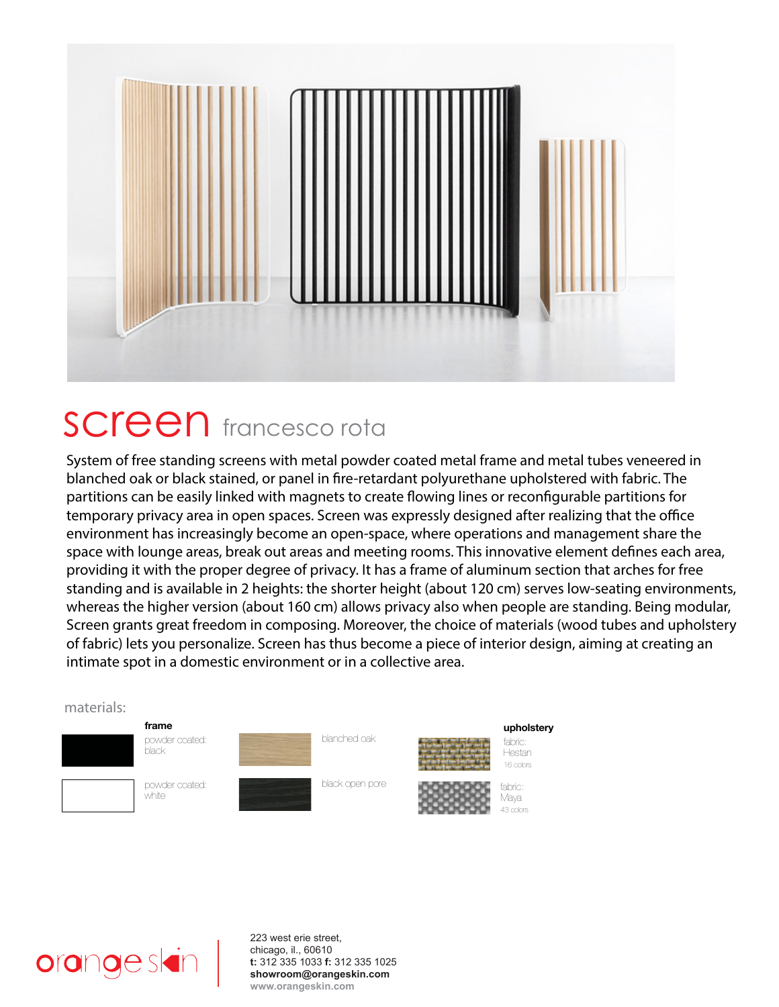

## **SCreen** francesco rota

System of free standing screens with metal powder coated metal frame and metal tubes veneered in blanched oak or black stained, or panel in fire-retardant polyurethane upholstered with fabric. The partitions can be easily linked with magnets to create flowing lines or reconfigurable partitions for temporary privacy area in open spaces. Screen was expressly designed after realizing that the office environment has increasingly become an open-space, where operations and management share the space with lounge areas, break out areas and meeting rooms. This innovative element defines each area, providing it with the proper degree of privacy. It has a frame of aluminum section that arches for free standing and is available in 2 heights: the shorter height (about 120 cm) serves low-seating environments, whereas the higher version (about 160 cm) allows privacy also when people are standing. Being modular, Screen grants great freedom in composing. Moreover, the choice of materials (wood tubes and upholstery of fabric) lets you personalize. Screen has thus become a piece of interior design, aiming at creating an intimate spot in a domestic environment or in a collective area.

## materials: **frame** powder coated: black powder coated: white blanched oak black open pore **upholstery** fabric: Hestan 16 colors fabric: Maya 43 colors



223 west erie street, chicago, il., 60610 **t:** 312 335 1033 **f:** 312 335 1025 **showroom@orangeskin.com www.orangeskin.com**